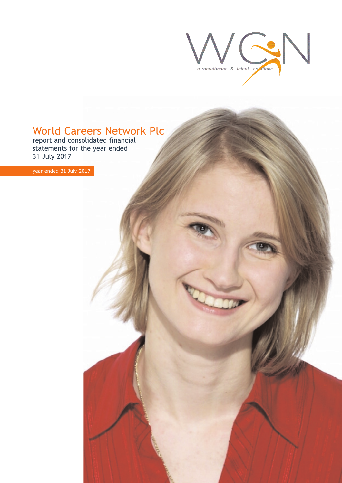

# World Careers Network Plc

report and consolidated financial statements for the year ended 31 July 2017

year ended 31 July 2017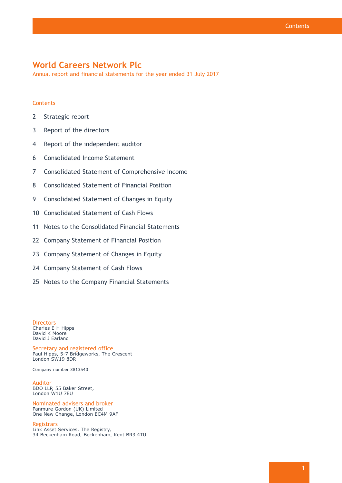# **World Careers Network Plc**

Annual report and financial statements for the year ended 31 July 2017

# **Contents**

- 2 Strategic report
- 3 Report of the directors
- 4 Report of the independent auditor
- 6 Consolidated Income Statement
- 7 Consolidated Statement of Comprehensive Income
- 8 Consolidated Statement of Financial Position
- 9 Consolidated Statement of Changes in Equity
- 10 Consolidated Statement of Cash Flows
- 11 Notes to the Consolidated Financial Statements
- 22 Company Statement of Financial Position
- 23 Company Statement of Changes in Equity
- 24 Company Statement of Cash Flows
- 25 Notes to the Company Financial Statements

**Directors** Charles E H Hipps David K Moore David J Earland

Secretary and registered office Paul Hipps, 5-7 Bridgeworks, The Crescent London SW19 8DR

Company number 3813540

Auditor BDO LLP, 55 Baker Street, London W1U 7EU

Nominated advisers and broker Panmure Gordon (UK) Limited One New Change, London EC4M 9AF

**Registrars** Link Asset Services, The Registry, 34 Beckenham Road, Beckenham, Kent BR3 4TU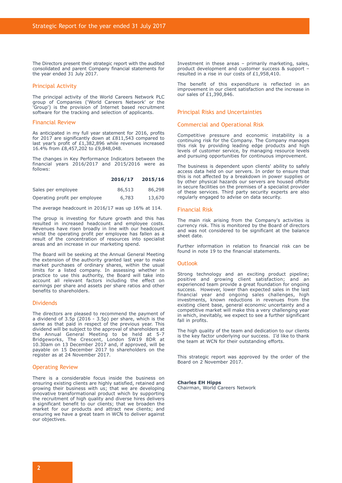The Directors present their strategic report with the audited consolidated and parent Company financial statements for the year ended 31 July 2017.

### Principal Activity

The principal activity of the World Careers Network PLC group of Companies ('World Careers Network' or the 'Group') is the provision of Internet based recruitment software for the tracking and selection of applicants.

### Financial Review

As anticipated in my full year statement for 2016, profits for 2017 are significantly down at £811,543 compared to last year's profit of £1,382,896 while revenues increased 16.4% from £8,457,202 to £9,848,048.

The changes in Key Performance Indicators between the financial years 2016/2017 and 2015/2016 were as follows:

|                               | 2016/17 | 2015/16 |
|-------------------------------|---------|---------|
| Sales per employee            | 86,513  | 86,298  |
| Operating profit per employee | 6,783   | 13,670  |

The average headcount in 2016/17 was up 16% at 114.

The group is investing for future growth and this has resulted in increased headcount and employee costs. Revenues have risen broadly in line with our headcount whilst the operating profit per employee has fallen as a result of the concentration of resources into specialist areas and an increase in our marketing spend.

The Board will be seeking at the Annual General Meeting the extension of the authority granted last year to make market purchases of ordinary shares, within the usual limits for a listed company. In assessing whether in practice to use this authority, the Board will take into account all relevant factors including the effect on earnings per share and assets per share ratios and other benefits to shareholders.

#### Dividends

The directors are pleased to recommend the payment of a dividend of 3.5p (2016 - 3.5p) per share, which is the same as that paid in respect of the previous year. This dividend will be subject to the approval of shareholders at the Annual General Meeting to be held at 5-7 Bridgeworks, The Crescent, London SW19 8DR at 10.30am on 13 December 2017 and, if approved, will be payable on 15 December 2017 to shareholders on the register as at 24 November 2017.

#### Operating Review

There is a considerable focus inside the business on ensuring existing clients are highly satisfied, retained and growing their business with us; that we are developing innovative transformational product which by supporting the recruitment of high quality and diverse hires delivers a significant benefit to our clients; that we broaden the market for our products and attract new clients; and ensuring we have a great team in WCN to deliver against our objectives.

Investment in these areas – primarily marketing, sales, product development and customer success & support – resulted in a rise in our costs of £1,958,410.

|                          |  |  | The benefit of this expenditure is reflected in an         |  |
|--------------------------|--|--|------------------------------------------------------------|--|
|                          |  |  | improvement in our client satisfaction and the increase in |  |
| our sales of £1,390,846. |  |  |                                                            |  |

### Principal Risks and Uncertainties

# Commercial and Operational Risk

Competitive pressure and economic instability is a continuing risk for the Company. The Company manages this risk by providing leading edge products and high levels of customer service, by managing resource levels and pursuing opportunities for continuous improvement.

The business is dependent upon clients' ability to safely access data held on our servers. In order to ensure that this is not affected by a breakdown in power supplies or by other physical hazards our servers are housed offsite in secure facilities on the premises of a specialist provider of these services. Third party security experts are also regularly engaged to advise on data security.

### Financial Risk

The main risk arising from the Company's activities is currency risk. This is monitored by the Board of directors and was not considered to be significant at the balance sheet date.

Further information in relation to financial risk can be found in note 19 to the financial statements.

#### **Outlook**

Strong technology and an exciting product pipeline; positive and growing client satisfaction; and an experienced team provide a great foundation for ongoing success. However, lower than expected sales in the last financial year and ongoing sales challenges, high investments, known reductions in revenues from the existing client base, general economic uncertainty and a competitive market will make this a very challenging year in which, inevitably, we expect to see a further significant fall in profits.

The high quality of the team and dedication to our clients is the key factor underlying our success. I'd like to thank the team at WCN for their outstanding efforts.

This strategic report was approved by the order of the Board on 2 November 2017.

#### **Charles EH Hipps**

Chairman, World Careers Network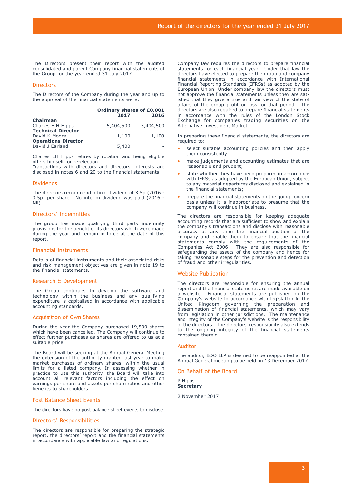The Directors present their report with the audited consolidated and parent Company financial statements of the Group for the year ended 31 July 2017.

### **Directors**

The Directors of the Company during the year and up to the approval of the financial statements were:

|                            | <b>Ordinary shares of £0.001</b><br>2017 | 2016      |
|----------------------------|------------------------------------------|-----------|
| <b>Chairman</b>            |                                          |           |
| Charles E H Hipps          | 5,404,500                                | 5,404,500 |
| <b>Technical Director</b>  |                                          |           |
| David K Moore              | 1,100                                    | 1,100     |
| <b>Operations Director</b> |                                          |           |
| David J Earland            | 5,400                                    |           |

Charles EH Hipps retires by rotation and being eligible offers himself for re-election.

Transactions with directors and directors' interests are disclosed in notes 6 and 20 to the financial statements

### Dividends

The directors recommend a final dividend of 3.5p (2016 - 3.5p) per share. No interim dividend was paid (2016 - Nil).

#### Directors' Indemnities

The group has made qualifying third party indemnity provisions for the benefit of its directors which were made during the year and remain in force at the date of this report.

### Financial Instruments

Details of financial instruments and their associated risks and risk management objectives are given in note 19 to the financial statements.

#### Research & Development

The Group continues to develop the software and technology within the business and any qualifying expenditure is capitalised in accordance with applicable accounting standards.

### Acquisition of Own Shares

During the year the Company purchased 19,500 shares which have been cancelled. The Company will continue to effect further purchases as shares are offered to us at a suitable price.

The Board will be seeking at the Annual General Meeting the extension of the authority granted last year to make market purchases of ordinary shares, within the usual limits for a listed company. In assessing whether in practice to use this authority, the Board will take into account all relevant factors including the effect on earnings per share and assets per share ratios and other benefits to shareholders.

# Post Balance Sheet Events

The directors have no post balance sheet events to disclose.

#### Directors' Responsibilities

The directors are responsible for preparing the strategic report, the directors' report and the financial statements in accordance with applicable law and regulations.

Company law requires the directors to prepare financial statements for each financial year. Under that law the directors have elected to prepare the group and company financial statements in accordance with International Financial Reporting Standards (IFRSs) as adopted by the European Union. Under company law the directors must not approve the financial statements unless they are satisfied that they give a true and fair view of the state of affairs of the group profit or loss for that period. The directors are also required to prepare financial statements in accordance with the rules of the London Stock Exchange for companies trading securities on the Alternative Investment Market.

In preparing these financial statements, the directors are required to:

- select suitable accounting policies and then apply them consistently;
- make judgements and accounting estimates that are reasonable and prudent;
- state whether they have been prepared in accordance with IFRSs as adopted by the European Union, subject to any material departures disclosed and explained in the financial statements;
- prepare the financial statements on the going concern basis unless it is inappropriate to presume that the company will continue in business.

The directors are responsible for keeping adequate accounting records that are sufficient to show and explain the company's transactions and disclose with reasonable accuracy at any time the financial position of the company and enable them to ensure that the financial statements comply with the requirements of the Companies Act 2006. They are also responsible for safeguarding the assets of the company and hence for taking reasonable steps for the prevention and detection of fraud and other irregularities.

### Website Publication

The directors are responsible for ensuring the annual report and the financial statements are made available on a website. Financial statements are published on the Company's website in accordance with legislation in the United Kingdom governing the preparation and dissemination of financial statements, which may vary from legislation in other jurisdictions. The maintenance and integrity of the Company's website is the responsibility of the directors. The directors' responsibility also extends to the ongoing integrity of the financial statements contained therein.

#### Auditor

The auditor, BDO LLP is deemed to be reappointed at the Annual General meeting to be held on 13 December 2017.

On Behalf of the Board

P Hinns **Secretary**

2 November 2017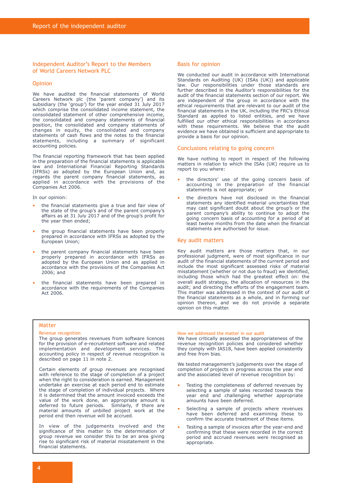Independent Auditor's Report to the Members of World Careers Network PLC

### **Opinion**

We have audited the financial statements of World Careers Network plc (the 'parent company') and its subsidiary (the 'group') for the year ended 31 July 2017 which comprise the consolidated income statement, the consolidated statement of other comprehensive income, the consolidated and company statements of financial position, the consolidated and company statements of changes in equity, the consolidated and company statements of cash flows and the notes to the financial statements, including a summary of significant accounting policies.

The financial reporting framework that has been applied in the preparation of the financial statements is applicable law and International Financial Reporting Standards (IFRSs) as adopted by the European Union and, as regards the parent company financial statements, as applied in accordance with the provisions of the Companies Act 2006.

In our opinion:

- the financial statements give a true and fair view of the state of the group's and of the parent company's affairs as at 31 July 2017 and of the group's profit for the year then ended;
- the group financial statements have been properly prepared in accordance with IFRSs as adopted by the European Union;
- the parent company financial statements have been properly prepared in accordance with IFRSs as adopted by the European Union and as applied in accordance with the provisions of the Companies Act 2006; and
- the financial statements have been prepared in accordance with the requirements of the Companies Act 2006.

### Basis for opinion

We conducted our audit in accordance with International Standards on Auditing (UK) (ISAs (UK)) and applicable law. Our responsibilities under those standards are further described in the Auditor's responsibilities for the audit of the financial statements section of our report. We are independent of the group in accordance with the ethical requirements that are relevant to our audit of the financial statements in the UK, including the FRC's Ethical Standard as applied to listed entities, and we have fulfilled our other ethical responsibilities in accordance with these requirements. We believe that the audit evidence we have obtained is sufficient and appropriate to provide a basis for our opinion.

### Conclusions relating to going concern

We have nothing to report in respect of the following matters in relation to which the ISAs (UK) require us to report to you where:

- the directors' use of the going concern basis of accounting in the preparation of the financial statements is not appropriate; or
- the directors have not disclosed in the financial statements any identified material uncertainties that may cast significant doubt about the group's or the parent company's ability to continue to adopt the going concern basis of accounting for a period of at least twelve months from the date when the financial statements are authorised for issue.

### Key audit matters

Key audit matters are those matters that, in our professional judgment, were of most significance in our audit of the financial statements of the current period and include the most significant assessed risks of material misstatement (whether or not due to fraud) we identified, including those which had the greatest effect on: the overall audit strategy, the allocation of resources in the audit; and directing the efforts of the engagement team. This matter was addressed in the context of our audit of the financial statements as a whole, and in forming our opinion thereon, and we do not provide a separate opinion on this matter.

### Matter

#### Revenue recognition

The group generates revenues from software licences for the provision of e-recruitment software and related implementation and development services. The accounting policy in respect of revenue recognition is described on page 11 in note 2.

Certain elements of group revenues are recognised with reference to the stage of completion of a project when the right to consideration is earned. Management undertake an exercise at each period end to estimate the stage of completion of individual projects. Where it is determined that the amount invoiced exceeds the value of the work done, an appropriate amount is deferred to future periods. Similarly, if there are material amounts of unbilled project work at the period end then revenue will be accrued.

In view of the judgements involved and the significance of this matter to the determination of group revenue we consider this to be an area giving rise to significant risk of material misstatement in the financial statements.

How we addressed the matter in our audit

We have critically assessed the appropriateness of the revenue recognition policies and considered whether they comply with IAS18, have been applied consistently and free from bias.

We tested management's judgements over the stage of completion of projects in progress across the year end and the associated level of revenue recognition by:

- Testing the completeness of deferred revenues by selecting a sample of sales recorded towards the year end and challenging whether appropriate amounts have been deferred.
- Selecting a sample of projects where revenues have been deferred and examining these to confirm the accurate treatment of these items.
- Testing a sample of invoices after the year-end and confirming that these were recorded in the correct period and accrued revenues were recognised as appropriate.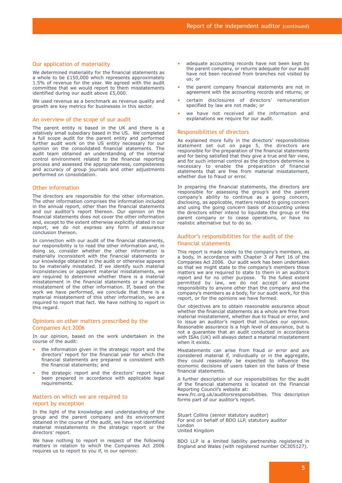# Our application of materiality

We determined materiality for the financial statements as a whole to be £150,000 which represents approximately 1.5% of revenue for the year. We agreed with the audit committee that we would report to them misstatements identified during our audit above £5,000.

We used revenue as a benchmark as revenue quality and growth are key metrics for businesses in this sector.

### An overview of the scope of our audit

The parent entity is based in the UK and there is a relatively small subsidiary based in the US. We completed a full scope audit for the parent entity and performed further audit work on the US entity necessary for our opinion on the consolidated financial statements. The audit team obtained an understanding of the internal control environment related to the financial reporting process and assessed the appropriateness, completeness and accuracy of group journals and other adjustments performed on consolidation.

#### Other information

The directors are responsible for the other information. The other information comprises the information included in the annual report, other than the financial statements and our auditor's report thereon. Our opinion on the financial statements does not cover the other information and, except to the extent otherwise explicitly stated in our report, we do not express any form of assurance conclusion thereon.

In connection with our audit of the financial statements, our responsibility is to read the other information and, in doing so, consider whether the other information is materially inconsistent with the financial statements or our knowledge obtained in the audit or otherwise appears to be materially misstated. If we identify such material inconsistencies or apparent material misstatements, we are required to determine whether there is a material misstatement in the financial statements or a material misstatement of the other information. If, based on the work we have performed, we conclude that there is a material misstatement of this other information, we are required to report that fact. We have nothing to report in this regard.

# Opinions on other matters prescribed by the Companies Act 2006

In our opinion, based on the work undertaken in the course of the audit:

- the information given in the strategic report and the directors' report for the financial year for which the financial statements are prepared is consistent with the financial statements; and
- the strategic report and the directors' report have been prepared in accordance with applicable legal requirements.

# Matters on which we are required to report by exception

In the light of the knowledge and understanding of the group and the parent company and its environment obtained in the course of the audit, we have not identified material misstatements in the strategic report or the directors' report.

We have nothing to report in respect of the following matters in relation to which the Companies Act 2006 requires us to report to you if, in our opinion:

- adequate accounting records have not been kept by the parent company, or returns adequate for our audit have not been received from branches not visited by us; or
- the parent company financial statements are not in agreement with the accounting records and returns; or
- certain disclosures of directors' remuneration specified by law are not made; or
- we have not received all the information and explanations we require for our audit.

#### Responsibilities of directors

As explained more fully in the directors' responsibilities statement set out on page 5, the directors are responsible for the preparation of the financial statements and for being satisfied that they give a true and fair view, and for such internal control as the directors determine is necessary to enable the preparation of financial statements that are free from material misstatement, whether due to fraud or error.

In preparing the financial statements, the directors are responsible for assessing the group's and the parent company's ability to continue as a going concern, disclosing, as applicable, matters related to going concern and using the going concern basis of accounting unless the directors either intend to liquidate the group or the parent company or to cease operations, or have no realistic alternative but to do so.

# Auditor's responsibilities for the audit of the financial statements

This report is made solely to the company's members, as a body, in accordance with Chapter 3 of Part 16 of the Companies Act 2006. Our audit work has been undertaken so that we might state to the company's members those matters we are required to state to them in an auditor's report and for no other purpose. To the fullest extent permitted by law, we do not accept or assume responsibility to anyone other than the company and the company's members as a body, for our audit work, for this report, or for the opinions we have formed.

Our objectives are to obtain reasonable assurance about whether the financial statements as a whole are free from material misstatement, whether due to fraud or error, and to issue an auditor's report that includes our opinion. Reasonable assurance is a high level of assurance, but is not a guarantee that an audit conducted in accordance with ISAs (UK) will always detect a material misstatement when it exists.

Misstatements can arise from fraud or error and are considered material if, individually or in the aggregate, they could reasonably be expected to influence the economic decisions of users taken on the basis of these financial statements.

A further description of our responsibilities for the audit of the financial statements is located on the Financial Reporting Council's website at:

www.frc.org.uk/auditorsresponsibilities. This description forms part of our auditor's report.

Stuart Collins (senior statutory auditor) For and on behalf of BDO LLP, statutory auditor London United Kingdom

BDO LLP is a limited liability partnership registered in England and Wales (with registered number OC305127).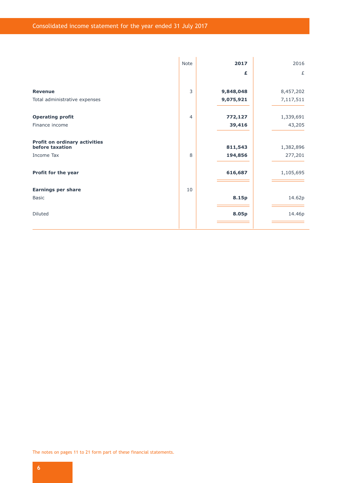|                                                         | <b>Note</b>    | 2017      | 2016      |
|---------------------------------------------------------|----------------|-----------|-----------|
|                                                         |                | £         | £         |
| <b>Revenue</b>                                          | 3              | 9,848,048 | 8,457,202 |
| Total administrative expenses                           |                | 9,075,921 | 7,117,511 |
| <b>Operating profit</b>                                 | $\overline{4}$ | 772,127   | 1,339,691 |
| Finance income                                          |                | 39,416    | 43,205    |
| <b>Profit on ordinary activities</b><br>before taxation |                | 811,543   | 1,382,896 |
| Income Tax                                              | 8              | 194,856   | 277,201   |
| Profit for the year                                     |                | 616,687   | 1,105,695 |
| <b>Earnings per share</b>                               | 10             |           |           |
| <b>Basic</b>                                            |                | 8.15p     | 14.62p    |
| <b>Diluted</b>                                          |                | 8.05p     | 14.46p    |
|                                                         |                |           |           |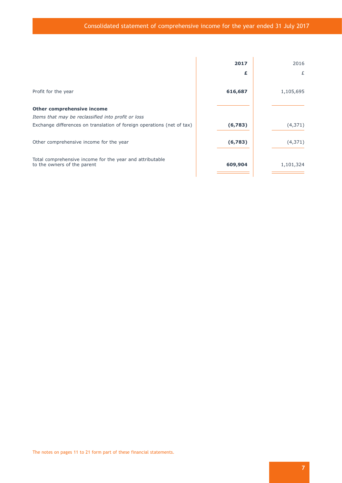|                                                                                         | 2017    | 2016      |
|-----------------------------------------------------------------------------------------|---------|-----------|
|                                                                                         | £       | £         |
| Profit for the year                                                                     | 616,687 | 1,105,695 |
| Other comprehensive income                                                              |         |           |
| Items that may be reclassified into profit or loss                                      |         |           |
| Exchange differences on translation of foreign operations (net of tax)                  | (6,783) | (4, 371)  |
| Other comprehensive income for the year                                                 | (6,783) | (4, 371)  |
| Total comprehensive income for the year and attributable<br>to the owners of the parent | 609,904 | 1,101,324 |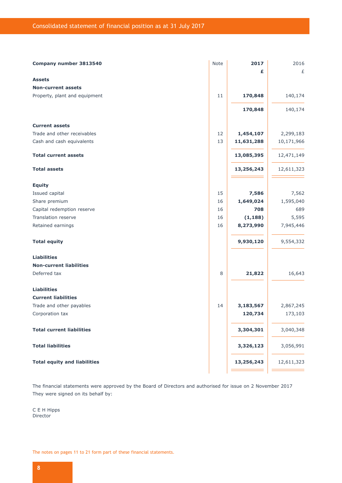| Company number 3813540              | <b>Note</b> | 2017       | 2016       |
|-------------------------------------|-------------|------------|------------|
|                                     |             | £          | £          |
| <b>Assets</b>                       |             |            |            |
| <b>Non-current assets</b>           |             |            |            |
| Property, plant and equipment       | 11          | 170,848    | 140,174    |
|                                     |             | 170,848    | 140,174    |
| <b>Current assets</b>               |             |            |            |
| Trade and other receivables         | 12          | 1,454,107  | 2,299,183  |
| Cash and cash equivalents           | 13          | 11,631,288 | 10,171,966 |
| <b>Total current assets</b>         |             | 13,085,395 | 12,471,149 |
| <b>Total assets</b>                 |             | 13,256,243 | 12,611,323 |
| <b>Equity</b>                       |             |            |            |
| Issued capital                      | 15          | 7,586      | 7,562      |
| Share premium                       | 16          | 1,649,024  | 1,595,040  |
| Capital redemption reserve          | 16          | 708        | 689        |
| Translation reserve                 | 16          | (1, 188)   | 5,595      |
| Retained earnings                   | 16          | 8,273,990  | 7,945,446  |
| <b>Total equity</b>                 |             | 9,930,120  | 9,554,332  |
| <b>Liabilities</b>                  |             |            |            |
| <b>Non-current liabilities</b>      |             |            |            |
| Deferred tax                        | 8           | 21,822     | 16,643     |
| <b>Liabilities</b>                  |             |            |            |
| <b>Current liabilities</b>          |             |            |            |
| Trade and other payables            | 14          | 3,183,567  | 2,867,245  |
| Corporation tax                     |             | 120,734    | 173,103    |
| <b>Total current liabilities</b>    |             | 3,304,301  | 3,040,348  |
| <b>Total liabilities</b>            |             | 3,326,123  | 3,056,991  |
| <b>Total equity and liabilities</b> |             | 13,256,243 | 12,611,323 |
|                                     |             |            |            |

The financial statements were approved by the Board of Directors and authorised for issue on 2 November 2017 They were signed on its behalf by:

C E H Hipps Director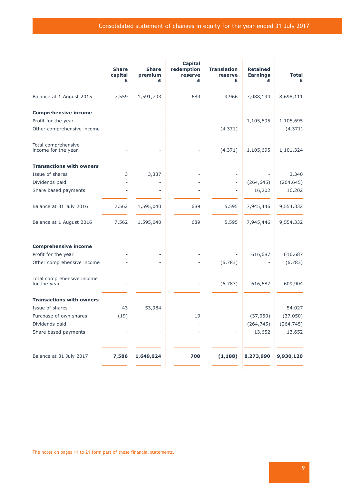|                                            | <b>Share</b><br>capital<br>£ | <b>Share</b><br>premium<br>£ | <b>Capital</b><br>redemption<br>reserve<br>£ | <b>Translation</b><br>reserve<br>£ | <b>Retained</b><br><b>Earnings</b><br>£ | Total<br>£ |
|--------------------------------------------|------------------------------|------------------------------|----------------------------------------------|------------------------------------|-----------------------------------------|------------|
| Balance at 1 August 2015                   | 7,559                        | 1,591,703                    | 689                                          | 9,966                              | 7,088,194                               | 8,698,111  |
| <b>Comprehensive income</b>                |                              |                              |                                              |                                    |                                         |            |
| Profit for the year                        |                              |                              |                                              |                                    | 1,105,695                               | 1,105,695  |
| Other comprehensive income                 |                              |                              |                                              | (4, 371)                           |                                         | (4, 371)   |
| Total comprehensive<br>income for the year |                              |                              |                                              | (4, 371)                           | 1,105,695                               | 1,101,324  |
| <b>Transactions with owners</b>            |                              |                              |                                              |                                    |                                         |            |
| Issue of shares                            | 3                            | 3,337                        |                                              |                                    |                                         | 3,340      |
| Dividends paid                             |                              |                              |                                              |                                    | (264, 645)                              | (264, 645) |
| Share based payments                       |                              |                              |                                              |                                    | 16,202                                  | 16,202     |
| Balance at 31 July 2016                    | 7,562                        | 1,595,040                    | 689                                          | 5,595                              | 7,945,446                               | 9,554,332  |
| Balance at 1 August 2016                   | 7,562                        | 1,595,040                    | 689                                          | 5,595                              | 7,945,446                               | 9,554,332  |
| <b>Comprehensive income</b>                |                              |                              |                                              |                                    |                                         |            |
| Profit for the year                        |                              |                              |                                              |                                    | 616,687                                 | 616,687    |
| Other comprehensive income                 |                              |                              |                                              | (6, 783)                           |                                         | (6, 783)   |
| Total comprehensive income<br>for the year |                              |                              |                                              | (6, 783)                           | 616,687                                 | 609,904    |
| <b>Transactions with owners</b>            |                              |                              |                                              |                                    |                                         |            |
| Issue of shares                            | 43                           | 53,984                       |                                              |                                    |                                         | 54,027     |
| Purchase of own shares                     | (19)                         |                              | 19                                           | -                                  | (37,050)                                | (37,050)   |
| Dividends paid                             |                              |                              |                                              |                                    | (264, 745)                              | (264, 745) |
| Share based payments                       |                              |                              |                                              |                                    | 13,652                                  | 13,652     |
| Balance at 31 July 2017                    | 7,586                        | 1,649,024                    | 708                                          | (1, 188)                           | 8,273,990                               | 9,930,120  |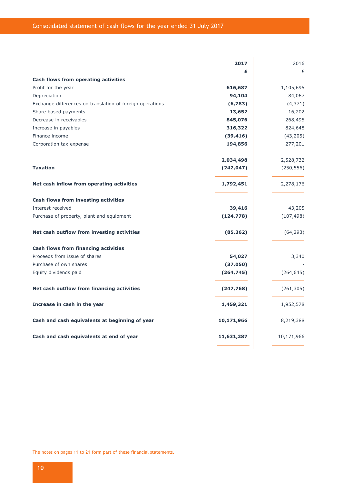|                                                           | 2017       | 2016       |
|-----------------------------------------------------------|------------|------------|
|                                                           | £          | £          |
| Cash flows from operating activities                      |            |            |
| Profit for the year                                       | 616,687    | 1,105,695  |
| Depreciation                                              | 94,104     | 84,067     |
| Exchange differences on translation of foreign operations | (6,783)    | (4, 371)   |
| Share based payments                                      | 13,652     | 16,202     |
| Decrease in receivables                                   | 845,076    | 268,495    |
| Increase in payables                                      | 316,322    | 824,648    |
| Finance income                                            | (39, 416)  | (43, 205)  |
| Corporation tax expense                                   | 194,856    | 277,201    |
|                                                           | 2,034,498  | 2,528,732  |
| <b>Taxation</b>                                           | (242, 047) | (250, 556) |
| Net cash inflow from operating activities                 | 1,792,451  | 2,278,176  |
| Cash flows from investing activities                      |            |            |
| Interest received                                         | 39,416     | 43,205     |
| Purchase of property, plant and equipment                 | (124, 778) | (107, 498) |
| Net cash outflow from investing activities                | (85, 362)  | (64, 293)  |
| Cash flows from financing activities                      |            |            |
| Proceeds from issue of shares                             | 54,027     | 3,340      |
| Purchase of own shares                                    | (37,050)   |            |
| Equity dividends paid                                     | (264, 745) | (264, 645) |
| Net cash outflow from financing activities                | (247,768)  | (261, 305) |
| Increase in cash in the year                              | 1,459,321  | 1,952,578  |
| Cash and cash equivalents at beginning of year            | 10,171,966 | 8,219,388  |
| Cash and cash equivalents at end of year                  | 11,631,287 | 10,171,966 |
|                                                           |            |            |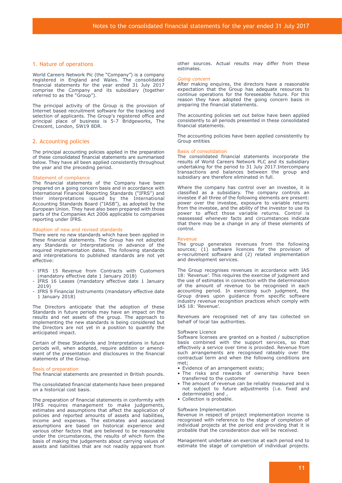# 1. Nature of operations

World Careers Network Plc (the "Company") is a company registered in England and Wales. The consolidated financial statements for the year ended 31 July 2017 comprise the Company and its subsidiary (together referred to as the "Group").

The principal activity of the Group is the provision of Internet based recruitment software for the tracking and selection of applicants. The Group's registered office and principal place of business is 5-7 Bridgeworks, The Crescent, London, SW19 8DR.

# 2. Accounting policies

The principal accounting policies applied in the preparation of these consolidated financial statements are summarised below. They have all been applied consistently throughout the year and the preceding period.

#### Statement of compliance

The financial statements of the Company have been prepared on a going concern basis and in accordance with International Financial Reporting Standards ("IFRS") and their interpretations issued by the International Accounting Standards Board ("IASB"), as adopted by the European Union. They have also been prepared with those parts of the Companies Act 2006 applicable to companies reporting under IFRS.

#### Adoption of new and revised standards

There were no new standards which have been applied in these financial statements. The Group has not adopted any Standards or Interpretations in advance of the required implementation dates. The following standards and interpretations to published standards are not yet effective:

- IFRS 15 Revenue from Contracts with Customers (mandatory effective date 1 January 2018)
- IFRS 16 Leases (mandatory effective date 1 January 2019)
- IFRS 9 Financial Instruments (mandatory effective date 1 January 2018)

The Directors anticipate that the adoption of these Standards in future periods may have an impact on the results and net assets of the group. The approach to implementing the new standards is being considered but the Directors are not yet in a position to quantify the anticipated impact.

Certain of these Standards and Interpretations in future periods will, when adopted, require addition or amendment of the presentation and disclosures in the financial statements of the Group.

#### Basis of preparation

The financial statements are presented in British pounds.

The consolidated financial statements have been prepared on a historical cost basis.

The preparation of financial statements in conformity with IFRS requires management to make judgements, estimates and assumptions that affect the application of policies and reported amounts of assets and liabilities, income and expenses. The estimates and associated assumptions are based on historical experience and various other factors that are believed to be reasonable under the circumstances, the results of which form the basis of making the judgements about carrying values of assets and liabilities that are not readily apparent from other sources. Actual results may differ from these estimates.

#### *Going concern*

After making enquires, the directors have a reasonable expectation that the Group has adequate resources to continue operations for the foreseeable future. For this reason they have adopted the going concern basis in preparing the financial statements.

The accounting policies set out below have been applied consistently to all periods presented in these consolidated financial statements.

The accounting policies have been applied consistently by Group entities

#### Basis of consolidation

The consolidated financial statements incorporate the results of World Careers Network PLC and its subsidiary undertaking for the period to 31 July 2017.Intercompany transactions and balances between the group and subsidiary are therefore eliminated in full.

Where the company has control over an investee, it is classified as a subsidiary. The company controls an investee if all three of the following elements are present: power over the investee, exposure to variable returns from the investee, and the ability of the investor to use its power to affect those variable returns. Control is reassessed whenever facts and circumstances indicate that there may be a change in any of these elements of control.

#### Revenue

The group generates revenues from the following sources; (1) software licences for the provision of e-recruitment software and (2) related implementation and development services.

The Group recognises revenues in accordance with IAS 18: 'Revenue'. This requires the exercise of judgment and the use of estimates in connection with the determination of the amount of revenue to be recognised in each accounting period. In exercising such judgment, the Group draws upon guidance from specific software industry revenue recognition practices which comply with IAS 18: 'Revenue'.

Revenues are recognised net of any tax collected on behalf of local tax authorities.

#### Software Licence

Software licenses are granted on a hosted / subscription basis combined with the support services, so that effectively a service over time is provided. Revenue from such arrangements are recognised rateably over the contractual term and when the following conditions are met;

- Evidence of an arrangement exists;
- The risks and rewards of ownership have been transferred to the customer
- The amount of revenue can be reliably measured and is not subject to future adjustments (i.e. fixed and determinable) and ,
- Collection is probable.

#### Software Implementation

Revenue in respect of project implementation income is recognised with reference to the stage of completion of individual projects at the period end providing that it is probable that the consideration due will be received.

Management undertake an exercise at each period end to estimate the stage of completion of individual projects.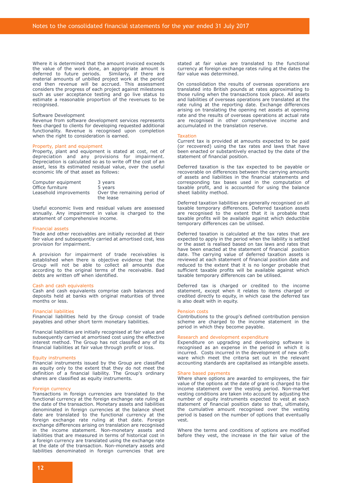Where it is determined that the amount invoiced exceeds the value of the work done, an appropriate amount is deferred to future periods. Similarly, if there are material amounts of unbilled project work at the period end then revenue will be accrued. This assessment considers the progress of each project against milestones such as user acceptance testing and go live status to estimate a reasonable proportion of the revenues to be recognised.

#### Software Development

Revenue from software development services represents fees charged to clients for developing requested additional functionality. Revenue is recognised upon completion when the right to consideration is earned.

#### Property, plant and equipment

Property, plant and equipment is stated at cost, net of depreciation and any provisions for impairment. Depreciation is calculated so as to write off the cost of an asset, less its estimated residual value, over the useful economic life of that asset as follows:

| Computer equipment     | 3 years                      |
|------------------------|------------------------------|
| Office furniture       | 5 years                      |
| Leasehold improvements | Over the remaining period of |
|                        | the lease                    |

Useful economic lives and residual values are assessed annually. Any impairment in value is charged to the statement of comprehensive income.

#### Financial assets

Trade and other receivables are initially recorded at their fair value and subsequently carried at amortised cost, less provision for impairment.

A provision for impairment of trade receivables is established when there is objective evidence that the Group will not be able to collect all amounts due according to the original terms of the receivable. Bad debts are written off when identified.

#### Cash and cash equivalents

Cash and cash equivalents comprise cash balances and deposits held at banks with original maturities of three months or less.

#### Financial liabilities

Financial liabilities held by the Group consist of trade payables and other short term monetary liabilities.

Financial liabilities are initially recognised at fair value and subsequently carried at amortised cost using the effective interest method. The Group has not classified any of its financial liabilities at fair value through profit or loss.

#### Equity instruments

Financial instruments issued by the Group are classified as equity only to the extent that they do not meet the definition of a financial liability. The Group's ordinary shares are classified as equity instruments.

#### Foreign currency

Transactions in foreign currencies are translated to the functional currency at the foreign exchange rate ruling at the date of the transaction. Monetary assets and liabilities denominated in foreign currencies at the balance sheet date are translated to the functional currency at the foreign exchange rate ruling at that date. Foreign exchange differences arising on translation are recognised in the income statement. Non-monetary assets and liabilities that are measured in terms of historical cost in a foreign currency are translated using the exchange rate at the date of the transaction. Non-monetary assets and liabilities denominated in foreign currencies that are

stated at fair value are translated to the functional currency at foreign exchange rates ruling at the dates the fair value was determined.

On consolidation the results of overseas operations are translated into British pounds at rates approximating to those ruling when the transactions took place. All assets and liabilities of overseas operations are translated at the rate ruling at the reporting date. Exchange differences arising on translating the opening net assets at opening rate and the results of overseas operations at actual rate are recognised in other comprehensive income and accumulated in the translation reserve.

#### Taxation

Current tax is provided at amounts expected to be paid (or recovered) using the tax rates and laws that have been enacted or substantively enacted by the date of the statement of financial position.

Deferred taxation is the tax expected to be payable or recoverable on differences between the carrying amounts of assets and liabilities in the financial statements and corresponding tax bases used in the computation of taxable profit, and is accounted for using the balance sheet liability method.

Deferred taxation liabilities are generally recognised on all taxable temporary differences. Deferred taxation assets are recognised to the extent that it is probable that taxable profits will be available against which deductible temporary differences can be utilised.

Deferred taxation is calculated at the tax rates that are expected to apply in the period when the liability is settled or the asset is realised based on tax laws and rates that have been enacted at the statement of financial position date. The carrying value of deferred taxation assets is reviewed at each statement of financial position date and reduced to the extent that it is no longer probable that sufficient taxable profits will be available against which taxable temporary differences can be utilised.

Deferred tax is charged or credited to the income statement, except when it relates to items charged or credited directly to equity, in which case the deferred tax is also dealt with in equity.

#### Pension costs

Contributions to the group's defined contribution pension scheme are charged to the income statement in the period in which they become payable.

#### Research and development expenditure

Expenditure on upgrading and developing software is recognised as an expense in the period in which it is incurred. Costs incurred in the development of new software which meet the criteria set out in the relevant accounting standards are capitalised as intangible assets.

#### Share based payments

Where share options are awarded to employees, the fair value of the options at the date of grant is charged to the income statement over the vesting period. Non-market vesting conditions are taken into account by adjusting the number of equity instruments expected to vest at each statement of financial position date so that, ultimately, the cumulative amount recognised over the vesting period is based on the number of options that eventually vest.

Where the terms and conditions of options are modified before they vest, the increase in the fair value of the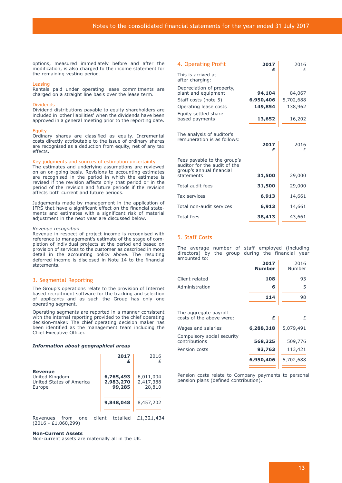options, measured immediately before and after the modification, is also charged to the income statement for the remaining vesting period.

#### Leasing

Rentals paid under operating lease commitments are charged on a straight line basis over the lease term.

#### Dividends

Dividend distributions payable to equity shareholders are included in 'other liabilities' when the dividends have been approved in a general meeting prior to the reporting date.

#### Equity

Ordinary shares are classified as equity. Incremental costs directly attributable to the issue of ordinary shares are recognised as a deduction from equity, net of any tax effects.

#### Key judgments and sources of estimation uncertainty

The estimates and underlying assumptions are reviewed on an on-going basis. Revisions to accounting estimates are recognised in the period in which the estimate is revised if the revision affects only that period or in the period of the revision and future periods if the revision affects both current and future periods.

Judgements made by management in the application of IFRS that have a significant effect on the financial statements and estimates with a significant risk of material adjustment in the next year are discussed below.

#### *Revenue recognition*

Revenue in respect of project income is recognised with reference to management's estimate of the stage of completion of individual projects at the period end based on provision of services to the customer as described in more detail in the accounting policy above. The resulting deferred income is disclosed in Note 14 to the financial statements.

# 3. Segmental Reporting

The Group's operations relate to the provision of Internet based recruitment software for the tracking and selection of applicants and as such the Group has only one operating segment.

Operating segments are reported in a manner consistent with the internal reporting provided to the chief operating decision-maker. The chief operating decision maker has been identified as the management team including the Chief Executive Officer.

#### *Information about geographical areas*

|                                                                        | 2017                             | 2016                             |
|------------------------------------------------------------------------|----------------------------------|----------------------------------|
| <b>Revenue</b><br>United Kingdom<br>United States of America<br>Europe | 6,765,493<br>2,983,270<br>99,285 | 6,011,004<br>2,417,388<br>28,810 |
|                                                                        | 9,848,048                        | 8,457,202                        |

Revenues from one client totalled £1,321,434 (2016 - £1,060,299)

#### **Non-Current Assets**

Non-current assets are materially all in the UK.

| 4. Operating Profit                                                                                   | 2017<br>£ | 2016<br>£ |
|-------------------------------------------------------------------------------------------------------|-----------|-----------|
| This is arrived at<br>after charging:                                                                 |           |           |
| Depreciation of property,<br>plant and equipment                                                      | 94,104    | 84,067    |
| Staff costs (note 5)                                                                                  | 6,950,406 | 5,702,688 |
| Operating lease costs                                                                                 | 149,854   | 138,962   |
| Equity settled share<br>based payments                                                                | 13,652    | 16,202    |
| The analysis of auditor's<br>remuneration is as follows:                                              | 2017<br>£ | 2016<br>£ |
| Fees payable to the group's<br>auditor for the audit of the<br>group's annual financial<br>statements | 31,500    | 29,000    |
| Total audit fees                                                                                      | 31,500    | 29,000    |
| Tax services                                                                                          | 6,913     | 14,661    |
| Total non-audit services                                                                              | 6,913     | 14,661    |
| <b>Total fees</b>                                                                                     | 38,413    | 43,661    |
|                                                                                                       |           |           |

# 5. Staff Costs

The average number of staff employed (including directors) by the group during the financial year amounted to:  $\mathbf{L}$ **2017** 2016

|                                                   | 2017<br><b>Number</b> | ZU 10<br>Number |
|---------------------------------------------------|-----------------------|-----------------|
| Client related                                    | 108                   | 93              |
| Administration                                    | 6                     | 5               |
|                                                   | 114                   | 98              |
| The aggregate payroll<br>costs of the above were: | £                     | £               |
| Wages and salaries                                | 6,288,318             | 5,079,491       |
| Compulsory social security<br>contributions       | 568,325               | 509,776         |
| Pension costs                                     | 93,763                | 113,421         |
|                                                   | 6,950,406             | 5,702,688       |
|                                                   |                       |                 |

Pension costs relate to Company payments to personal pension plans (defined contribution).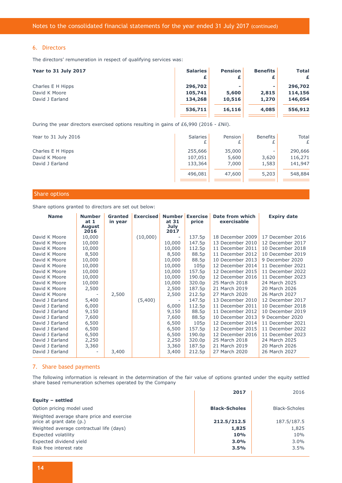# 6. Directors

The directors' remuneration in respect of qualifying services was:

| Year to 31 July 2017 | <b>Salaries</b> | <b>Pension</b> | <b>Benefits</b> | <b>Total</b> |
|----------------------|-----------------|----------------|-----------------|--------------|
|                      | £               |                |                 | £            |
| Charles E H Hipps    | 296,702         |                | -               | 296,702      |
| David K Moore        | 105,741         | 5,600          | 2,815           | 114,156      |
| David J Earland      | 134,268         | 10,516         | 1,270           | 146,054      |
|                      | 536,711         | 16,116         | 4,085           | 556,912      |
|                      |                 |                |                 |              |

During the year directors exercised options resulting in gains of £6,990 (2016 - £Nil).

| Year to 31 July 2016 | <b>Salaries</b> | Pension | <b>Benefits</b> | <b>Total</b><br>£ |
|----------------------|-----------------|---------|-----------------|-------------------|
| Charles E H Hipps    | 255,666         | 35,000  |                 | 290,666           |
| David K Moore        | 107,051         | 5,600   | 3,620           | 116,271           |
| David J Earland      | 133,364         | 7,000   | 1,583           | 141,947           |
|                      | 496,081         | 47,600  | 5,203           | 548,884           |
|                      |                 |         |                 |                   |

# Share options

Share options granted to directors are set out below:

| <b>Name</b>                                                                                                                                                                                                                                                                                                                                                                           | <b>Number</b><br>at $1$<br><b>August</b><br>2016                                                                                                                                | <b>Granted</b><br>in year | <b>Exercised</b>    | <b>Number</b><br>at 31<br>July<br>2017                                                                                                                                         | <b>Exercise</b><br>price                                                                                                                                                                               | Date from which<br>exercisable                                                                                                                                                                                                                                                                                                                                                                                 | <b>Expiry date</b>                                                                                                                                                                                                                                                                                                                                                                                           |
|---------------------------------------------------------------------------------------------------------------------------------------------------------------------------------------------------------------------------------------------------------------------------------------------------------------------------------------------------------------------------------------|---------------------------------------------------------------------------------------------------------------------------------------------------------------------------------|---------------------------|---------------------|--------------------------------------------------------------------------------------------------------------------------------------------------------------------------------|--------------------------------------------------------------------------------------------------------------------------------------------------------------------------------------------------------|----------------------------------------------------------------------------------------------------------------------------------------------------------------------------------------------------------------------------------------------------------------------------------------------------------------------------------------------------------------------------------------------------------------|--------------------------------------------------------------------------------------------------------------------------------------------------------------------------------------------------------------------------------------------------------------------------------------------------------------------------------------------------------------------------------------------------------------|
| David K Moore<br>David K Moore<br>David K Moore<br>David K Moore<br>David K Moore<br>David K Moore<br>David K Moore<br>David K Moore<br>David K Moore<br>David K Moore<br>David K Moore<br>David J Earland<br>David J Earland<br>David J Earland<br>David J Earland<br>David J Earland<br>David J Earland<br>David J Earland<br>David J Earland<br>David J Earland<br>David J Earland | 10,000<br>10,000<br>10,000<br>8,500<br>10,000<br>10,000<br>10,000<br>10,000<br>10,000<br>2,500<br>5,400<br>6,000<br>9,150<br>7,600<br>6,500<br>6,500<br>6,500<br>2,250<br>3,360 | 2,500<br>3,400            | (10,000)<br>(5,400) | 10,000<br>10,000<br>8,500<br>10,000<br>10,000<br>10,000<br>10,000<br>10,000<br>2,500<br>2,500<br>6,000<br>9,150<br>7,600<br>6,500<br>6,500<br>6,500<br>2,250<br>3,360<br>3,400 | 137.5p<br>147.5p<br>112.5p<br>88.5p<br>88.5p<br>105p<br>157.5p<br>190.0p<br>320.0p<br>187.5p<br>212.5p<br>147.5p<br>112.5p<br>88.5p<br>88.5p<br>105p<br>157.5p<br>190.0p<br>320.0p<br>187.5p<br>212.5p | 18 December 2009<br>13 December 2010<br>11 December 2011<br>11 December 2012<br>10 December 2013<br>12 December 2014<br>12 December 2015<br>12 December 2016<br>25 March 2018<br>21 March 2019<br>27 March 2020<br>13 December 2010<br>11 December 2011<br>11 December 2012<br>10 December 2013<br>12 December 2014<br>12 December 2015<br>12 December 2016<br>25 March 2018<br>21 March 2019<br>27 March 2020 | 17 December 2016<br>12 December 2017<br>10 December 2018<br>10 December 2019<br>9 December 2020<br>11 December 2021<br>11 December 2022<br>11 December 2023<br>24 March 2025<br>20 March 2026<br>26 March 2027<br>12 December 2017<br>10 December 2018<br>10 December 2019<br>9 December 2020<br>11 December 2021<br>11 December 2022<br>11 December 2023<br>24 March 2025<br>20 March 2026<br>26 March 2027 |
|                                                                                                                                                                                                                                                                                                                                                                                       |                                                                                                                                                                                 |                           |                     |                                                                                                                                                                                |                                                                                                                                                                                                        |                                                                                                                                                                                                                                                                                                                                                                                                                |                                                                                                                                                                                                                                                                                                                                                                                                              |

# 7. Share based payments

The following information is relevant in the determination of the fair value of options granted under the equity settled share based remuneration schemes operated by the Company

|                                                                                                                   | 2017                 | 2016                 |
|-------------------------------------------------------------------------------------------------------------------|----------------------|----------------------|
| Equity $-$ settled                                                                                                |                      |                      |
| Option pricing model used                                                                                         | <b>Black-Scholes</b> | Black-Scholes        |
| Weighted average share price and exercise<br>price at grant date (p.)<br>Weighted average contractual life (days) | 212.5/212.5<br>1,825 | 187.5/187.5<br>1,825 |
| Expected volatility                                                                                               | 10%                  | 10%                  |
| Expected dividend yield                                                                                           | 3.0%                 | $3.0\%$              |
| Risk free interest rate                                                                                           | 3.5%                 | 3.5%                 |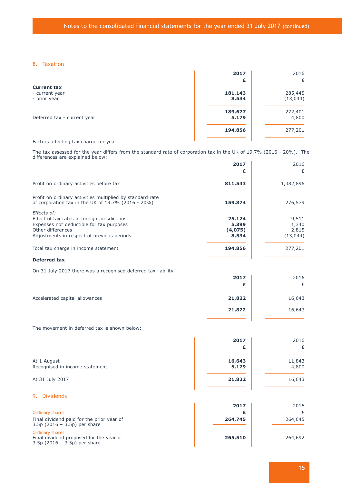# 8. Taxation

|                                             | 2017    | 2016      |
|---------------------------------------------|---------|-----------|
|                                             | £       | £         |
| <b>Current tax</b>                          |         |           |
| - current year                              | 181,143 | 285,445   |
| - prior year                                | 8,534   | (13, 044) |
|                                             | 189,677 | 272,401   |
| Deferred tax - current year                 | 5,179   | 4,800     |
|                                             | 194,856 | 277,201   |
| Footnig officialize tour elements for users |         |           |

# Factors affecting tax charge for year

The tax assessed for the year differs from the standard rate of corporation tax in the UK of 19.7% (2016 - 20%). The differences are explained below:

|                                                                                                                                                                            | 2017<br>£                           | 2016<br>£                            |
|----------------------------------------------------------------------------------------------------------------------------------------------------------------------------|-------------------------------------|--------------------------------------|
| Profit on ordinary activities before tax                                                                                                                                   | 811,543                             | 1,382,896                            |
| Profit on ordinary activities multiplied by standard rate<br>of corporation tax in the UK of 19.7% (2016 - 20%)                                                            | 159,874                             | 276,579                              |
| Effects of:<br>Effect of tax rates in foreign jurisdictions<br>Expenses not deductible for tax purposes<br>Other differences<br>Adjustments in respect of previous periods | 25,124<br>5,399<br>(4,075)<br>8,534 | 9,511<br>1,340<br>2,815<br>(13, 044) |
| Total tax charge in income statement                                                                                                                                       | 194,856                             | 277,201                              |
| <b>Deferred tax</b>                                                                                                                                                        |                                     |                                      |

On 31 July 2017 there was a recognised deferred tax liability.

| 2017<br>£ | 2016   |
|-----------|--------|
| 21,822    | 16,643 |
| 21,822    | 16,643 |
|           |        |

The movement in deferred tax is shown below:

|                                                                                              | 2017            | 2016            |
|----------------------------------------------------------------------------------------------|-----------------|-----------------|
|                                                                                              | £               | £               |
| At 1 August<br>Recognised in income statement                                                | 16,643<br>5,179 | 11,843<br>4,800 |
|                                                                                              |                 |                 |
| At 31 July 2017                                                                              | 21,822          | 16,643          |
| 9. Dividends                                                                                 |                 |                 |
|                                                                                              | 2017            | 2016            |
| Ordinary shares                                                                              | £               | £               |
| Final dividend paid for the prior year of<br>$3.5p$ (2016 - 3.5p) per share                  | 264,745         | 264,645         |
| Ordinary shares<br>Final dividend proposed for the year of<br>$3.5p$ (2016 - 3.5p) per share | 265,510         | 264,692         |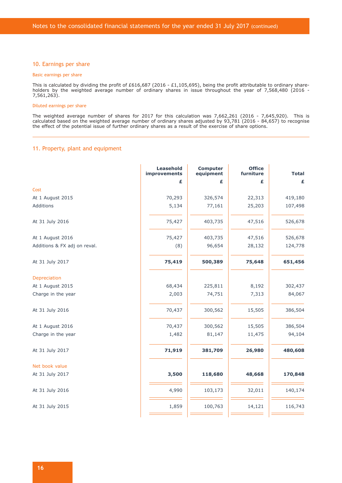# 10. Earnings per share

### Basic earnings per share

This is calculated by dividing the profit of £616,687 (2016 - £1,105,695), being the profit attributable to ordinary shareholders by the weighted average number of ordinary shares in issue throughout the year of 7,568,480 (2016 - 7,561,263).

### Diluted earnings per share

The weighted average number of shares for 2017 for this calculation was 7,662,261 (2016 - 7,645,920). This is calculated based on the weighted average number of ordinary shares adjusted by 93,781 (2016 - 84,657) to recognise the effect of the potential issue of further ordinary shares as a result of the exercise of share options.

# 11. Property, plant and equipment

|                              | <b>Leasehold</b><br>improvements | <b>Computer</b><br>equipment | <b>Office</b><br>furniture | <b>Total</b> |
|------------------------------|----------------------------------|------------------------------|----------------------------|--------------|
|                              | £                                | £                            | £                          | £            |
| Cost                         |                                  |                              |                            |              |
| At 1 August 2015             | 70,293                           | 326,574                      | 22,313                     | 419,180      |
| Additions                    | 5,134                            | 77,161                       | 25,203                     | 107,498      |
| At 31 July 2016              | 75,427                           | 403,735                      | 47,516                     | 526,678      |
| At 1 August 2016             | 75,427                           | 403,735                      | 47,516                     | 526,678      |
| Additions & FX adj on reval. | (8)                              | 96,654                       | 28,132                     | 124,778      |
| At 31 July 2017              | 75,419                           | 500,389                      | 75,648                     | 651,456      |
| Depreciation                 |                                  |                              |                            |              |
| At 1 August 2015             | 68,434                           | 225,811                      | 8,192                      | 302,437      |
| Charge in the year           | 2,003                            | 74,751                       | 7,313                      | 84,067       |
| At 31 July 2016              | 70,437                           | 300,562                      | 15,505                     | 386,504      |
| At 1 August 2016             | 70,437                           | 300,562                      | 15,505                     | 386,504      |
| Charge in the year           | 1,482                            | 81,147                       | 11,475                     | 94,104       |
| At 31 July 2017              | 71,919                           | 381,709                      | 26,980                     | 480,608      |
| Net book value               |                                  |                              |                            |              |
| At 31 July 2017              | 3,500                            | 118,680                      | 48,668                     | 170,848      |
| At 31 July 2016              | 4,990                            | 103,173                      | 32,011                     | 140,174      |
| At 31 July 2015              | 1,859                            | 100,763                      | 14,121                     | 116,743      |
|                              |                                  |                              |                            |              |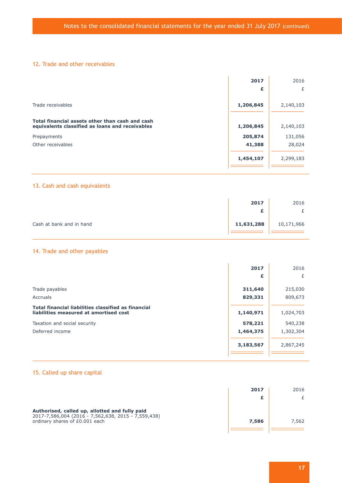# 12. Trade and other receivables

|                                                                                                    | 2017      | 2016      |
|----------------------------------------------------------------------------------------------------|-----------|-----------|
|                                                                                                    | £         | £         |
| Trade receivables                                                                                  | 1,206,845 | 2,140,103 |
| Total financial assets other than cash and cash<br>equivalents classified as loans and receivables | 1,206,845 | 2,140,103 |
| Prepayments                                                                                        | 205,874   | 131,056   |
| Other receivables                                                                                  | 41,388    | 28,024    |
|                                                                                                    | 1,454,107 | 2,299,183 |

# 13. Cash and cash equivalents

|                          | 2017       | 2016       |
|--------------------------|------------|------------|
|                          | -          |            |
| Cash at bank and in hand | 11,631,288 | 10,171,966 |

# 14. Trade and other payables

|                                                                                                      | 2017      | 2016      |
|------------------------------------------------------------------------------------------------------|-----------|-----------|
|                                                                                                      | £         | £         |
| Trade payables                                                                                       | 311,640   | 215,030   |
| Accruals                                                                                             | 829,331   | 809,673   |
| <b>Total financial liabilities classified as financial</b><br>liabilities measured at amortised cost | 1,140,971 | 1,024,703 |
| Taxation and social security                                                                         | 578,221   | 540,238   |
| Deferred income                                                                                      | 1,464,375 | 1,302,304 |
|                                                                                                      | 3,183,567 | 2,867,245 |

# 15. Called up share capital

|                                                                                                                                         | 2017  | 2016  |
|-----------------------------------------------------------------------------------------------------------------------------------------|-------|-------|
|                                                                                                                                         |       |       |
| Authorised, called up, allotted and fully paid<br>2017-7,586,004 (2016 - 7,562,638, 2015 - 7,559,438)<br>ordinary shares of £0.001 each | 7,586 | 7,562 |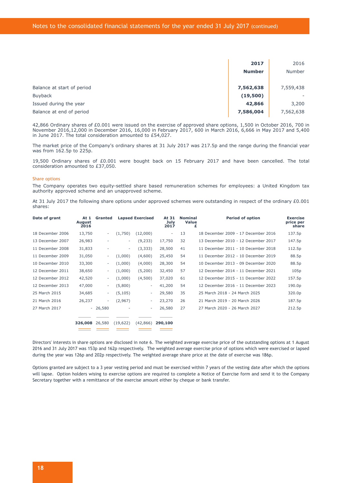|                            | 2017          | 2016      |
|----------------------------|---------------|-----------|
|                            | <b>Number</b> | Number    |
|                            |               |           |
| Balance at start of period | 7,562,638     | 7,559,438 |
| <b>Buyback</b>             | (19,500)      |           |
| Issued during the year     | 42,866        | 3,200     |
| Balance at end of period   | 7,586,004     | 7,562,638 |

42,866 Ordinary shares of £0.001 were issued on the exercise of approved share options, 1,500 in October 2016, 700 in November 2016,12,000 in December 2016, 16,000 in February 2017, 600 in March 2016, 6,666 in May 2017 and 5,400 in June 2017. The total consideration amounted to £54,027.

The market price of the Company's ordinary shares at 31 July 2017 was 217.5p and the range during the financial year was from 162.5p to 225p.

19,500 Ordinary shares of £0.001 were bought back on 15 February 2017 and have been cancelled. The total consideration amounted to £37,050.

#### Share options

The Company operates two equity-settled share based remuneration schemes for employees: a United Kingdom tax authority approved scheme and an unapproved scheme.

At 31 July 2017 the following share options under approved schemes were outstanding in respect of the ordinary £0.001 shares:

| Date of grant    | At 1<br>August<br>2016 | Granted                  |                          | <b>Lapsed Exercised</b>  | At 31<br>July<br>2017    | <b>Nominal</b><br><b>Value</b><br>£ | <b>Period of option</b>             | <b>Exercise</b><br>price per<br>share |
|------------------|------------------------|--------------------------|--------------------------|--------------------------|--------------------------|-------------------------------------|-------------------------------------|---------------------------------------|
| 18 December 2006 | 13,750                 | $\sim$                   | (1,750)                  | (12,000)                 | $\overline{\phantom{a}}$ | 13                                  | 18 December 2009 - 17 December 2016 | 137.5p                                |
| 13 December 2007 | 26,983                 | $\overline{\phantom{a}}$ | $\overline{\phantom{a}}$ | (9,233)                  | 17,750                   | 32                                  | 13 December 2010 - 12 December 2017 | 147.5p                                |
| 11 December 2008 | 31,833                 | $\overline{\phantom{a}}$ | -                        | (3, 333)                 | 28,500                   | 41                                  | 11 December 2011 - 10 December 2018 | 112.5p                                |
| 11 December 2009 | 31,050                 | $\overline{\phantom{a}}$ | (1,000)                  | (4,600)                  | 25,450                   | 54                                  | 11 December 2012 - 10 December 2019 | 88.5p                                 |
| 10 December 2010 | 33,300                 | $\overline{\phantom{a}}$ | (1,000)                  | (4,000)                  | 28,300                   | 54                                  | 10 December 2013 - 09 December 2020 | 88.5p                                 |
| 12 December 2011 | 38,650                 | $\overline{\phantom{a}}$ | (1,000)                  | (5,200)                  | 32,450                   | 57                                  | 12 December 2014 - 11 December 2021 | 105p                                  |
| 12 December 2012 | 42,520                 | $\overline{\phantom{a}}$ | (1,000)                  | (4,500)                  | 37,020                   | 61                                  | 12 December 2015 - 11 December 2022 | 157.5p                                |
| 12 December 2013 | 47,000                 | $\overline{\phantom{a}}$ | (5,800)                  | $\overline{\phantom{a}}$ | 41,200                   | 54                                  | 12 December 2016 - 11 December 2023 | 190.0p                                |
| 25 March 2015    | 34,685                 | $\overline{\phantom{a}}$ | (5, 105)                 | $\overline{\phantom{a}}$ | 29,580                   | 35                                  | 25 March 2018 - 24 March 2025       | 320.0p                                |
| 21 March 2016    | 26,237                 | $\overline{\phantom{a}}$ | (2,967)                  | $\overline{\phantom{a}}$ | 23,270                   | 26                                  | 21 March 2019 - 20 March 2026       | 187.5p                                |
| 27 March 2017    |                        | $-26,580$                | ٠                        | $\overline{\phantom{a}}$ | 26,580                   | 27                                  | 27 March 2020 - 26 March 2027       | 212.5p                                |
|                  |                        |                          |                          |                          |                          |                                     |                                     |                                       |
|                  | 326,008                | 26,580                   | (19,622)                 | (42, 866)                | 290,100                  |                                     |                                     |                                       |
|                  |                        |                          |                          |                          |                          |                                     |                                     |                                       |

Directors' interests in share options are disclosed in note 6. The weighted average exercise price of the outstanding options at 1 August 2016 and 31 July 2017 was 153p and 162p respectively. The weighted average exercise price of options which were exercised or lapsed during the year was 126p and 202p respectively. The weighted average share price at the date of exercise was 186p.

Options granted are subject to a 3 year vesting period and must be exercised within 7 years of the vesting date after which the options will lapse. Option holders wising to exercise options are required to complete a Notice of Exercise form and send it to the Company Secretary together with a remittance of the exercise amount either by cheque or bank transfer.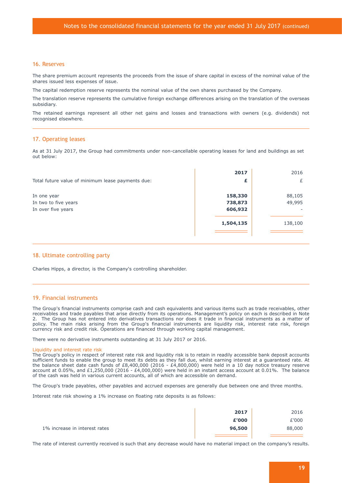# 16. Reserves

The share premium account represents the proceeds from the issue of share capital in excess of the nominal value of the shares issued less expenses of issue.

The capital redemption reserve represents the nominal value of the own shares purchased by the Company.

The translation reserve represents the cumulative foreign exchange differences arising on the translation of the overseas subsidiary.

The retained earnings represent all other net gains and losses and transactions with owners (e.g. dividends) not recognised elsewhere.

# 17. Operating leases

As at 31 July 2017, the Group had commitments under non-cancellable operating leases for land and buildings as set out below:

|                                                   | 2017      | 2016    |
|---------------------------------------------------|-----------|---------|
| Total future value of minimum lease payments due: | £         |         |
| In one year                                       | 158,330   | 88,105  |
| In two to five years                              | 738,873   | 49,995  |
| In over five years                                | 606,932   |         |
|                                                   | 1,504,135 | 138,100 |
|                                                   |           |         |

# 18. Ultimate controlling party

Charles Hipps, a director, is the Company's controlling shareholder.

# 19. Financial instruments

The Group's financial instruments comprise cash and cash equivalents and various items such as trade receivables, other receivables and trade payables that arise directly from its operations. Management's policy on each is described in Note 2. The Group has not entered into derivatives transactions nor does it trade in financial instruments as a matter of policy. The main risks arising from the Group's financial instruments are liquidity risk, interest rate risk, foreign currency risk and credit risk. Operations are financed through working capital management.

There were no derivative instruments outstanding at 31 July 2017 or 2016.

#### Liquidity and interest rate risk

The Group's policy in respect of interest rate risk and liquidity risk is to retain in readily accessible bank deposit accounts sufficient funds to enable the group to meet its debts as they fall due, whilst earning interest at a guaranteed rate. At the balance sheet date cash funds of £8,400,000 (2016 - £4,800,000) were held in a 10 day notice treasury reserve account at 0.05%, and £1,250,000 (2016 - £4,000,000) were held in an instant access account at 0.01%. The balance of the cash was held in various current accounts, all of which are accessible on demand.

The Group's trade payables, other payables and accrued expenses are generally due between one and three months.

Interest rate risk showing a 1% increase on floating rate deposits is as follows:

|                               | 2017   | 2016   |
|-------------------------------|--------|--------|
|                               | £'000  | £'000  |
| 1% increase in interest rates | 96,500 | 88,000 |
|                               |        |        |

The rate of interest currently received is such that any decrease would have no material impact on the company's results.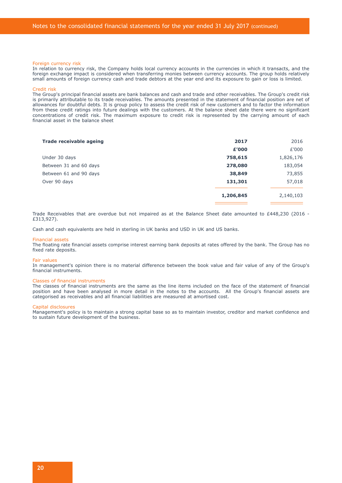#### Foreign currency risk

In relation to currency risk, the Company holds local currency accounts in the currencies in which it transacts, and the foreign exchange impact is considered when transferring monies between currency accounts. The group holds relatively small amounts of foreign currency cash and trade debtors at the year end and its exposure to gain or loss is limited.

#### Credit risk

The Group's principal financial assets are bank balances and cash and trade and other receivables. The Group's credit risk is primarily attributable to its trade receivables. The amounts presented in the statement of financial position are net of allowances for doubtful debts. It is group policy to assess the credit risk of new customers and to factor the information from these credit ratings into future dealings with the customers. At the balance sheet date there were no significant concentrations of credit risk. The maximum exposure to credit risk is represented by the carrying amount of each financial asset in the balance sheet

| <b>Trade receivable ageing</b> | 2017      | 2016      |
|--------------------------------|-----------|-----------|
|                                | £'000     | £'000     |
| Under 30 days                  | 758,615   | 1,826,176 |
| Between 31 and 60 days         | 278,080   | 183,054   |
| Between 61 and 90 days         | 38,849    | 73,855    |
| Over 90 days                   | 131,301   | 57,018    |
|                                | 1,206,845 | 2,140,103 |

Trade Receivables that are overdue but not impaired as at the Balance Sheet date amounted to £448,230 (2016 - £313,927).

Cash and cash equivalents are held in sterling in UK banks and USD in UK and US banks.

#### Financial assets

The floating rate financial assets comprise interest earning bank deposits at rates offered by the bank. The Group has no fixed rate deposits.

### Fair values

In management's opinion there is no material difference between the book value and fair value of any of the Group's financial instruments.

#### Classes of financial instruments

The classes of financial instruments are the same as the line items included on the face of the statement of financial position and have been analysed in more detail in the notes to the accounts. All the Group's financial assets are categorised as receivables and all financial liabilities are measured at amortised cost.

#### Capital disclosures

Management's policy is to maintain a strong capital base so as to maintain investor, creditor and market confidence and to sustain future development of the business.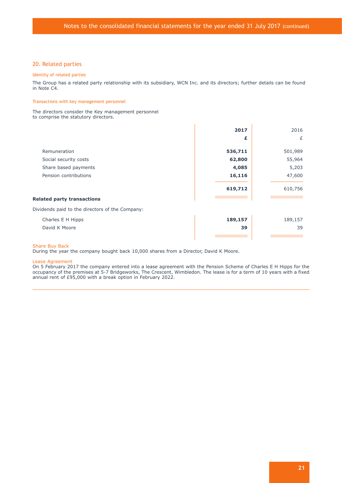$\overline{1}$ 

 $\overline{1}$ 

# 20. Related parties

# Identity of related parties

The Group has a related party relationship with its subsidiary, WCN Inc. and its directors; further details can be found in Note C4.

### Transactions with key management personnel

The directors consider the Key management personnel to comprise the statutory directors.

|                                   | 2017    | 2016    |
|-----------------------------------|---------|---------|
|                                   | £       | £       |
| Remuneration                      | 536,711 | 501,989 |
| Social security costs             | 62,800  | 55,964  |
| Share based payments              | 4,085   | 5,203   |
| Pension contributions             | 16,116  | 47,600  |
|                                   | 619,712 | 610,756 |
| <b>Related party transactions</b> |         |         |

Dividends paid to the directors of the Company:

| Charles E H Hipps | 189,157 | 189,157 |
|-------------------|---------|---------|
| David K Moore     | 39      | 39      |
|                   |         |         |

#### Share Buy Back

During the year the company bought back 10,000 shares from a Director, David K Moore.

# Lease Agreement

On 5 February 2017 the company entered into a lease agreement with the Pension Scheme of Charles E H Hipps for the occupancy of the premises at 5-7 Bridgeworks, The Crescent, Wimbledon. The lease is for a term of 10 years with a fixed annual rent of £95,000 with a break option in February 2022.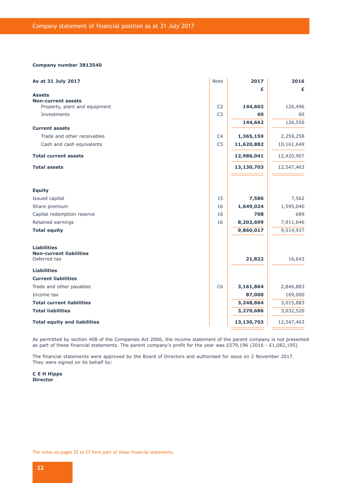# **Company number 3813540**

| As at 31 July 2017                                                   | <b>Note</b>    | 2017       | 2016       |
|----------------------------------------------------------------------|----------------|------------|------------|
|                                                                      |                | £          | £          |
| <b>Assets</b><br><b>Non-current assets</b>                           |                |            |            |
| Property, plant and equipment                                        | C <sub>2</sub> | 144,602    | 126,496    |
| Investments                                                          | C <sub>3</sub> | 60         | 60         |
|                                                                      |                | 144,662    | 126,556    |
| <b>Current assets</b>                                                |                |            |            |
| Trade and other receivables                                          | C <sub>4</sub> | 1,365,159  | 2,259,258  |
| Cash and cash equivalents                                            | C <sub>5</sub> | 11,620,882 | 10,161,649 |
| <b>Total current assets</b>                                          |                | 12,986,041 | 12,420,907 |
| <b>Total assets</b>                                                  |                | 13,130,703 | 12,547,463 |
| <b>Equity</b>                                                        |                |            |            |
| Issued capital                                                       | 15             | 7,586      | 7,562      |
| Share premium                                                        | 16             | 1,649,024  | 1,595,040  |
| Capital redemption reserve                                           | 16             | 708        | 689        |
| Retained earnings                                                    | 16             | 8,202,699  | 7,911,646  |
| <b>Total equity</b>                                                  |                | 9,860,017  | 9,514,937  |
| <b>Liabilities</b><br><b>Non-current liabilities</b><br>Deferred tax |                | 21,822     | 16,643     |
| <b>Liabilities</b>                                                   |                |            |            |
| <b>Current liabilities</b>                                           |                |            |            |
| Trade and other payables                                             | C <sub>6</sub> | 3,161,864  | 2,846,883  |
| Income tax                                                           |                | 87,000     | 169,000    |
| <b>Total current liabilities</b>                                     |                | 3,248,864  | 3,015,883  |
| <b>Total liabilities</b>                                             |                | 3,270,686  | 3,032,526  |
| <b>Total equity and liabilities</b>                                  |                | 13,130,703 | 12,547,463 |

As permitted by section 408 of the Companies Act 2006, the income statement of the parent company is not presented as part of these financial statements. The parent company's profit for the year was £579,196 (2016 - £1,082,195)

The financial statements were approved by the Board of Directors and authorised for issue on 2 November 2017. They were signed on its behalf by:

**C E H Hipps Director**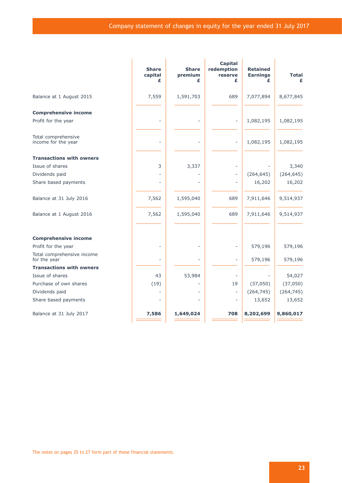|                                            | <b>Share</b><br>capital<br>£ | <b>Share</b><br>premium<br>£ | <b>Capital</b><br>redemption<br>reserve<br>£ | <b>Retained</b><br><b>Earnings</b><br>£ | <b>Total</b><br>£ |
|--------------------------------------------|------------------------------|------------------------------|----------------------------------------------|-----------------------------------------|-------------------|
| Balance at 1 August 2015                   | 7,559                        | 1,591,703                    | 689                                          | 7,077,894                               | 8,677,845         |
| <b>Comprehensive income</b>                |                              |                              |                                              |                                         |                   |
| Profit for the year                        |                              |                              | ÷,                                           | 1,082,195                               | 1,082,195         |
| Total comprehensive<br>income for the year |                              |                              | L,                                           | 1,082,195                               | 1,082,195         |
| <b>Transactions with owners</b>            |                              |                              |                                              |                                         |                   |
| Issue of shares                            | 3                            | 3,337                        |                                              |                                         | 3,340             |
| Dividends paid                             |                              |                              |                                              | (264, 645)                              | (264, 645)        |
| Share based payments                       |                              |                              | $\overline{\phantom{a}}$                     | 16,202                                  | 16,202            |
| Balance at 31 July 2016                    | 7,562                        | 1,595,040                    | 689                                          | 7,911,646                               | 9,514,937         |
| Balance at 1 August 2016                   | 7,562                        | 1,595,040                    | 689                                          | 7,911,646                               | 9,514,937         |
| <b>Comprehensive income</b>                |                              |                              |                                              |                                         |                   |
| Profit for the year                        |                              |                              | $\overline{\phantom{a}}$                     | 579,196                                 | 579,196           |
| Total comprehensive income<br>for the year |                              |                              | $\overline{\phantom{a}}$                     | 579,196                                 | 579,196           |
| <b>Transactions with owners</b>            |                              |                              |                                              |                                         |                   |
| Issue of shares                            | 43                           | 53,984                       |                                              |                                         | 54,027            |
| Purchase of own shares                     | (19)                         |                              | 19                                           | (37,050)                                | (37,050)          |
| Dividends paid                             |                              |                              | $\overline{\phantom{a}}$                     | (264, 745)                              | (264, 745)        |
| Share based payments                       |                              |                              | $\overline{\phantom{a}}$                     | 13,652                                  | 13,652            |
| Balance at 31 July 2017                    | 7,586                        | 1,649,024                    | 708                                          | 8,202,699                               | 9,860,017         |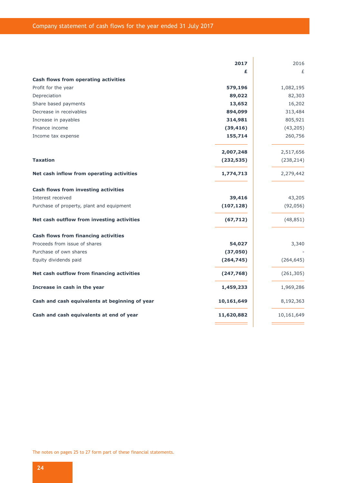|                                                | 2017       | 2016       |
|------------------------------------------------|------------|------------|
|                                                | £          | £          |
| Cash flows from operating activities           |            |            |
| Profit for the year                            | 579,196    | 1,082,195  |
| Depreciation                                   | 89,022     | 82,303     |
| Share based payments                           | 13,652     | 16,202     |
| Decrease in receivables                        | 894,099    | 313,484    |
| Increase in payables                           | 314,981    | 805,921    |
| Finance income                                 | (39, 416)  | (43, 205)  |
| Income tax expense                             | 155,714    | 260,756    |
|                                                | 2,007,248  | 2,517,656  |
| <b>Taxation</b>                                | (232, 535) | (238, 214) |
| Net cash inflow from operating activities      | 1,774,713  | 2,279,442  |
| Cash flows from investing activities           |            |            |
| Interest received                              | 39,416     | 43,205     |
| Purchase of property, plant and equipment      | (107, 128) | (92,056)   |
| Net cash outflow from investing activities     | (67, 712)  | (48, 851)  |
| <b>Cash flows from financing activities</b>    |            |            |
| Proceeds from issue of shares                  | 54,027     | 3,340      |
| Purchase of own shares                         | (37,050)   |            |
| Equity dividends paid                          | (264, 745) | (264, 645) |
| Net cash outflow from financing activities     | (247, 768) | (261, 305) |
| Increase in cash in the year                   | 1,459,233  | 1,969,286  |
| Cash and cash equivalents at beginning of year | 10,161,649 | 8,192,363  |
| Cash and cash equivalents at end of year       | 11,620,882 | 10,161,649 |
|                                                |            |            |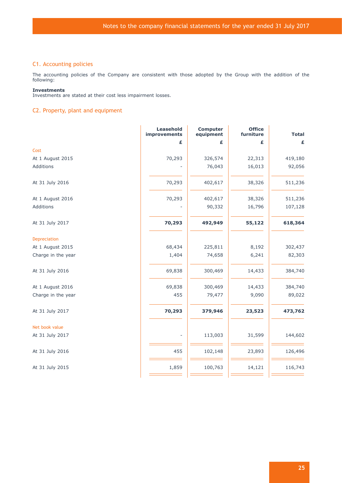# C1. Accounting policies

The accounting policies of the Company are consistent with those adopted by the Group with the addition of the following:

### **Investments**

Investments are stated at their cost less impairment losses.

# C2. Property, plant and equipment

|                    | Leasehold         | <b>Computer</b> | <b>Office</b><br>furniture | <b>Total</b> |
|--------------------|-------------------|-----------------|----------------------------|--------------|
|                    | improvements<br>£ | equipment<br>£  |                            | £            |
|                    |                   |                 | £                          |              |
| Cost               |                   |                 |                            |              |
| At 1 August 2015   | 70,293            | 326,574         | 22,313                     | 419,180      |
| Additions          |                   | 76,043          | 16,013                     | 92,056       |
| At 31 July 2016    | 70,293            | 402,617         | 38,326                     | 511,236      |
| At 1 August 2016   | 70,293            | 402,617         | 38,326                     | 511,236      |
| Additions          |                   | 90,332          | 16,796                     | 107,128      |
| At 31 July 2017    | 70,293            | 492,949         | 55,122                     | 618,364      |
| Depreciation       |                   |                 |                            |              |
| At 1 August 2015   | 68,434            | 225,811         | 8,192                      | 302,437      |
| Charge in the year | 1,404             | 74,658          | 6,241                      | 82,303       |
| At 31 July 2016    | 69,838            | 300,469         | 14,433                     | 384,740      |
| At 1 August 2016   | 69,838            | 300,469         | 14,433                     | 384,740      |
| Charge in the year | 455               | 79,477          | 9,090                      | 89,022       |
| At 31 July 2017    | 70,293            | 379,946         | 23,523                     | 473,762      |
| Net book value     |                   |                 |                            |              |
| At 31 July 2017    |                   | 113,003         | 31,599                     | 144,602      |
| At 31 July 2016    | 455               | 102,148         | 23,893                     | 126,496      |
| At 31 July 2015    | 1,859             | 100,763         | 14,121                     | 116,743      |
|                    |                   |                 |                            |              |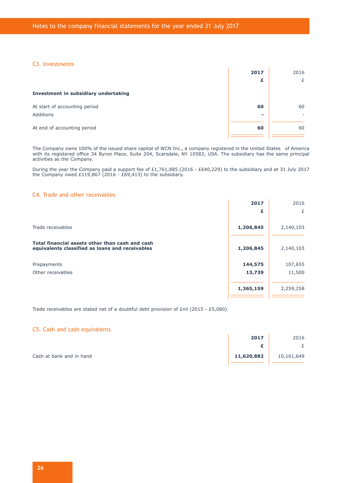# C3. Investments

| <b>CJ. INVESUNENTS</b>               |      |      |
|--------------------------------------|------|------|
|                                      | 2017 | 2016 |
|                                      | £    | £    |
| Investment in subsidiary undertaking |      |      |
| At start of accounting period        | 60   | 60   |
| Additions                            | ٠    |      |
| At end of accounting period          | 60   | 60   |
|                                      |      |      |

The Company owns 100% of the issued share capital of WCN Inc., a company registered in the United States of America with its registered office 34 Byron Place, Suite 204, Scarsdale, NY 10583, USA. The subsidiary has the same principal activities as the Company.

During the year the Company paid a support fee of £1,761,885 (2016 - £640,229) to the subsidiary and at 31 July 2017 the Company owed £119,867 (2016 - £69,413) to the subsidiary.

# C4. Trade and other receivables

|                                                                                                    | 2017      | 2016      |
|----------------------------------------------------------------------------------------------------|-----------|-----------|
|                                                                                                    | £         | £         |
| Trade receivables                                                                                  | 1,206,845 | 2,140,103 |
| Total financial assets other than cash and cash<br>equivalents classified as loans and receivables | 1,206,845 | 2,140,103 |
| Prepayments                                                                                        | 144,575   | 107,655   |
| Other receivables                                                                                  | 13,739    | 11,500    |
|                                                                                                    | 1,365,159 | 2,259,258 |

Trade receivables are stated net of a doubtful debt provision of £nil (2015 - £5,080).

# C5. Cash and cash equivalents

|                          | 2017       | 2016       |
|--------------------------|------------|------------|
|                          |            |            |
| Cash at bank and in hand | 11,620,882 | 10,161,649 |
|                          |            |            |

 $\sim$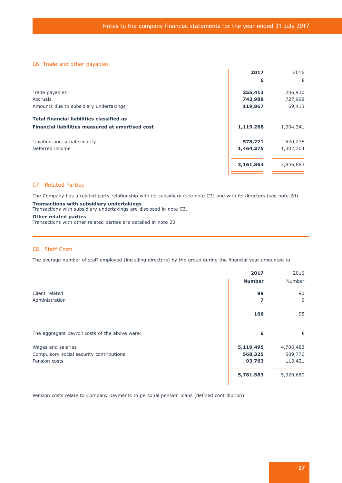# C6. Trade and other payables

|                                                         | 2017      | 2016      |
|---------------------------------------------------------|-----------|-----------|
|                                                         | £         | £         |
| Trade payables                                          | 255,413   | 206,930   |
| Accruals                                                | 743,988   | 727,998   |
| Amounts due to subsidiary undertakings                  | 119,867   | 69,413    |
| <b>Total financial liabilities classified as</b>        |           |           |
| <b>Financial liabilities measured at amortised cost</b> | 1,119,268 | 1,004,341 |
| Taxation and social security                            | 578,221   | 540,238   |
| Deferred income                                         | 1,464,375 | 1,302,304 |
|                                                         | 3,161,864 | 2,846,883 |
|                                                         |           |           |

# C7. Related Parties

The Company has a related party relationship with its subsidiary (see note C3) and with its directors (see note 20).

# **Transactions with subsidiary undertakings**

Transactions with subsidiary undertakings are disclosed in note C3.

### **Other related parties**

Transactions with other related parties are detailed in note 20.

# C8. Staff Costs

The average number of staff employed (including directors) by the group during the financial year amounted to:

|                                                | 2017          | 2016      |
|------------------------------------------------|---------------|-----------|
|                                                | <b>Number</b> | Number    |
| Client related                                 | 99            | 90        |
| Administration                                 | 7             | 5         |
|                                                | 106           | 95        |
| The aggregate payroll costs of the above were: | £             | £         |
| Wages and salaries                             | 5,119,495     | 4,706,483 |
| Compulsory social security contributions       | 568,325       | 509,776   |
| Pension costs                                  | 93,763        | 113,421   |
|                                                | 5,781,583     | 5,329,680 |
|                                                |               |           |

Pension costs relate to Company payments to personal pension plans (defined contribution).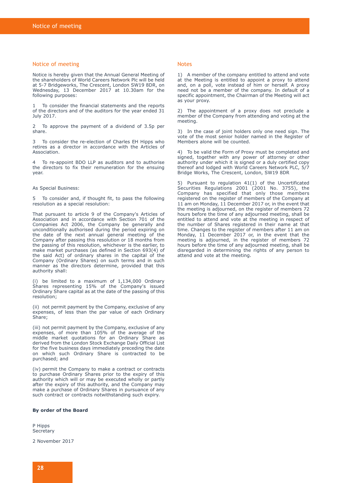### Notice of meeting

Notice is hereby given that the Annual General Meeting of the shareholders of World Careers Network Plc will be held at 5-7 Bridgeworks, The Crescent, London SW19 8DR, on Wednesday, 13 December 2017 at 10.30am for the following purposes:

To consider the financial statements and the reports of the directors and of the auditors for the year ended 31 July 2017.

2 To approve the payment of a dividend of 3.5p per share.

3 To consider the re-election of Charles EH Hipps who retires as a director in accordance with the Articles of Association.

To re-appoint BDO LLP as auditors and to authorise the directors to fix their remuneration for the ensuing year.

#### As Special Business:

5 To consider and, if thought fit, to pass the following resolution as a special resolution:

That pursuant to article 9 of the Company's Articles of Association and in accordance with Section 701 of the Companies Act 2006, the Company be generally and unconditionally authorised during the period expiring on the date of the next annual general meeting of the Company after passing this resolution or 18 months from the passing of this resolution, whichever is the earlier, to make market purchases (as defined in Section 693(4) of the said Act) of ordinary shares in the capital of the Company (Ordinary Shares) on such terms and in such manner as the directors determine, provided that this authority shall:

(i) be limited to a maximum of 1,134,000 Ordinary Shares representing 15% of the Company's issued Ordinary Share capital as at the date of the passing of this resolution;

(ii) not permit payment by the Company, exclusive of any expenses, of less than the par value of each Ordinary Share;

(iii) not permit payment by the Company, exclusive of any expenses, of more than 105% of the average of the middle market quotations for an Ordinary Share as derived from the London Stock Exchange Daily Official List for the five business days immediately preceding the date on which such Ordinary Share is contracted to be purchased; and

(iv) permit the Company to make a contract or contracts to purchase Ordinary Shares prior to the expiry of this authority which will or may be executed wholly or partly after the expiry of this authority, and the Company may make a purchase of Ordinary Shares in pursuance of any such contract or contracts notwithstanding such expiry.

#### **By order of the Board**

P Hipps **Secretary** 

2 November 2017

#### Notes

1) A member of the company entitled to attend and vote at the Meeting is entitled to appoint a proxy to attend and, on a poll, vote instead of him or herself. A proxy need not be a member of the company. In default of a specific appointment, the Chairman of the Meeting will act as your proxy.

2) The appointment of a proxy does not preclude a member of the Company from attending and voting at the meeting.

3) In the case of joint holders only one need sign. The vote of the most senior holder named in the Register of Members alone will be counted.

4) To be valid the Form of Proxy must be completed and signed, together with any power of attorney or other authority under which it is signed or a duly certified copy thereof and lodged with World Careers Network PLC, 5/7 Bridge Works, The Crescent, London, SW19 8DR

5) Pursuant to regulation 41(1) of the Uncertificated Securities Regulations 2001 (2001 No. 3755), the Company has specified that only those members registered on the register of members of the Company at 11 am on Monday, 11 December 2017 or, in the event that the meeting is adjourned, on the register of members 72 hours before the time of any adjourned meeting, shall be entitled to attend and vote at the meeting in respect of the number of Shares registered in their name at that time. Changes to the register of members after 11 am on Monday, 11 December 2017 or, in the event that the meeting is adjourned, in the register of members 72 hours before the time of any adjourned meeting, shall be disregarded in determining the rights of any person to attend and vote at the meeting.